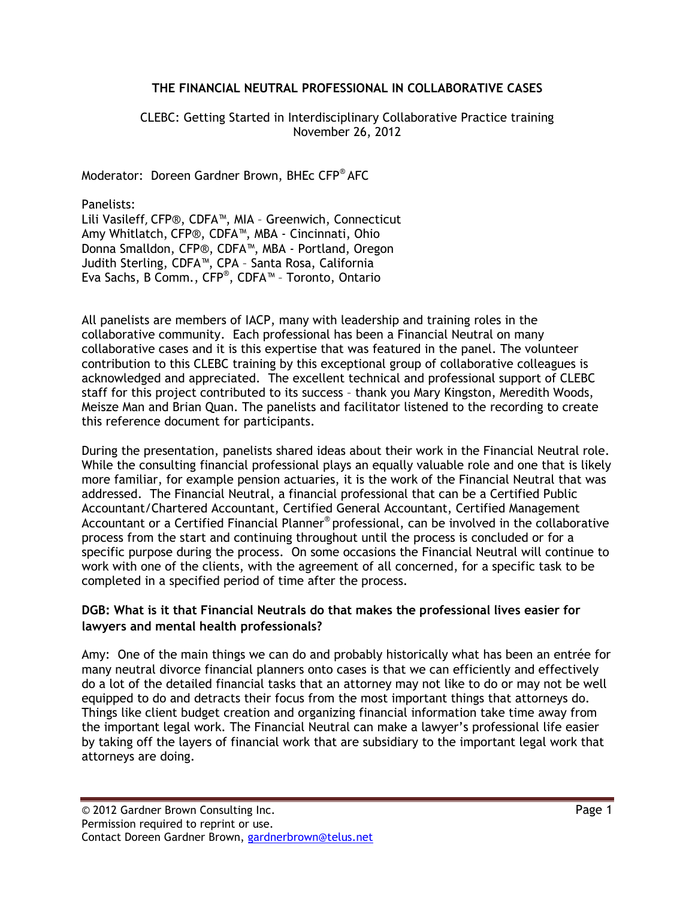#### THE FINANCIAL NEUTRAL PROFESSIONAL IN COLLABORATIVE CASES

#### CLEBC: Getting Started in Interdisciplinary Collaborative Practice training November 26, 2012

Moderator: Doreen Gardner Brown, BHEc CFP® AFC

Panelists:

Lili Vasileff, CFP®, CDFA™, MIA – Greenwich, Connecticut Amy Whitlatch, CFP®, CDFA™, MBA - Cincinnati, Ohio Donna Smalldon, CFP®, CDFA™, MBA - Portland, Oregon Judith Sterling, CDFA™, CPA – Santa Rosa, California Eva Sachs, B Comm., CFP® , CDFA™ – Toronto, Ontario

All panelists are members of IACP, many with leadership and training roles in the collaborative community. Each professional has been a Financial Neutral on many collaborative cases and it is this expertise that was featured in the panel. The volunteer contribution to this CLEBC training by this exceptional group of collaborative colleagues is acknowledged and appreciated. The excellent technical and professional support of CLEBC staff for this project contributed to its success – thank you Mary Kingston, Meredith Woods, Meisze Man and Brian Quan. The panelists and facilitator listened to the recording to create this reference document for participants.

During the presentation, panelists shared ideas about their work in the Financial Neutral role. While the consulting financial professional plays an equally valuable role and one that is likely more familiar, for example pension actuaries, it is the work of the Financial Neutral that was addressed. The Financial Neutral, a financial professional that can be a Certified Public Accountant/Chartered Accountant, Certified General Accountant, Certified Management Accountant or a Certified Financial Planner® professional, can be involved in the collaborative process from the start and continuing throughout until the process is concluded or for a specific purpose during the process. On some occasions the Financial Neutral will continue to work with one of the clients, with the agreement of all concerned, for a specific task to be completed in a specified period of time after the process.

#### DGB: What is it that Financial Neutrals do that makes the professional lives easier for lawyers and mental health professionals?

Amy: One of the main things we can do and probably historically what has been an entrée for many neutral divorce financial planners onto cases is that we can efficiently and effectively do a lot of the detailed financial tasks that an attorney may not like to do or may not be well equipped to do and detracts their focus from the most important things that attorneys do. Things like client budget creation and organizing financial information take time away from the important legal work. The Financial Neutral can make a lawyer's professional life easier by taking off the layers of financial work that are subsidiary to the important legal work that attorneys are doing.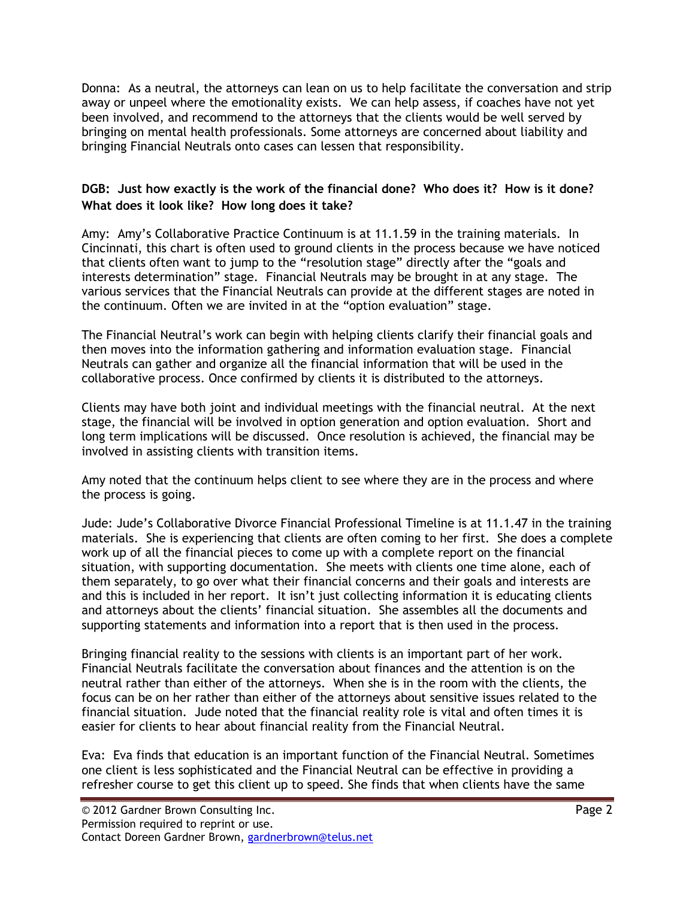Donna: As a neutral, the attorneys can lean on us to help facilitate the conversation and strip away or unpeel where the emotionality exists. We can help assess, if coaches have not yet been involved, and recommend to the attorneys that the clients would be well served by bringing on mental health professionals. Some attorneys are concerned about liability and bringing Financial Neutrals onto cases can lessen that responsibility.

## DGB: Just how exactly is the work of the financial done? Who does it? How is it done? What does it look like? How long does it take?

Amy: Amy's Collaborative Practice Continuum is at 11.1.59 in the training materials. In Cincinnati, this chart is often used to ground clients in the process because we have noticed that clients often want to jump to the "resolution stage" directly after the "goals and interests determination" stage. Financial Neutrals may be brought in at any stage. The various services that the Financial Neutrals can provide at the different stages are noted in the continuum. Often we are invited in at the "option evaluation" stage.

The Financial Neutral's work can begin with helping clients clarify their financial goals and then moves into the information gathering and information evaluation stage. Financial Neutrals can gather and organize all the financial information that will be used in the collaborative process. Once confirmed by clients it is distributed to the attorneys.

Clients may have both joint and individual meetings with the financial neutral. At the next stage, the financial will be involved in option generation and option evaluation. Short and long term implications will be discussed. Once resolution is achieved, the financial may be involved in assisting clients with transition items.

Amy noted that the continuum helps client to see where they are in the process and where the process is going.

Jude: Jude's Collaborative Divorce Financial Professional Timeline is at 11.1.47 in the training materials. She is experiencing that clients are often coming to her first. She does a complete work up of all the financial pieces to come up with a complete report on the financial situation, with supporting documentation. She meets with clients one time alone, each of them separately, to go over what their financial concerns and their goals and interests are and this is included in her report. It isn't just collecting information it is educating clients and attorneys about the clients' financial situation. She assembles all the documents and supporting statements and information into a report that is then used in the process.

Bringing financial reality to the sessions with clients is an important part of her work. Financial Neutrals facilitate the conversation about finances and the attention is on the neutral rather than either of the attorneys. When she is in the room with the clients, the focus can be on her rather than either of the attorneys about sensitive issues related to the financial situation. Jude noted that the financial reality role is vital and often times it is easier for clients to hear about financial reality from the Financial Neutral.

Eva: Eva finds that education is an important function of the Financial Neutral. Sometimes one client is less sophisticated and the Financial Neutral can be effective in providing a refresher course to get this client up to speed. She finds that when clients have the same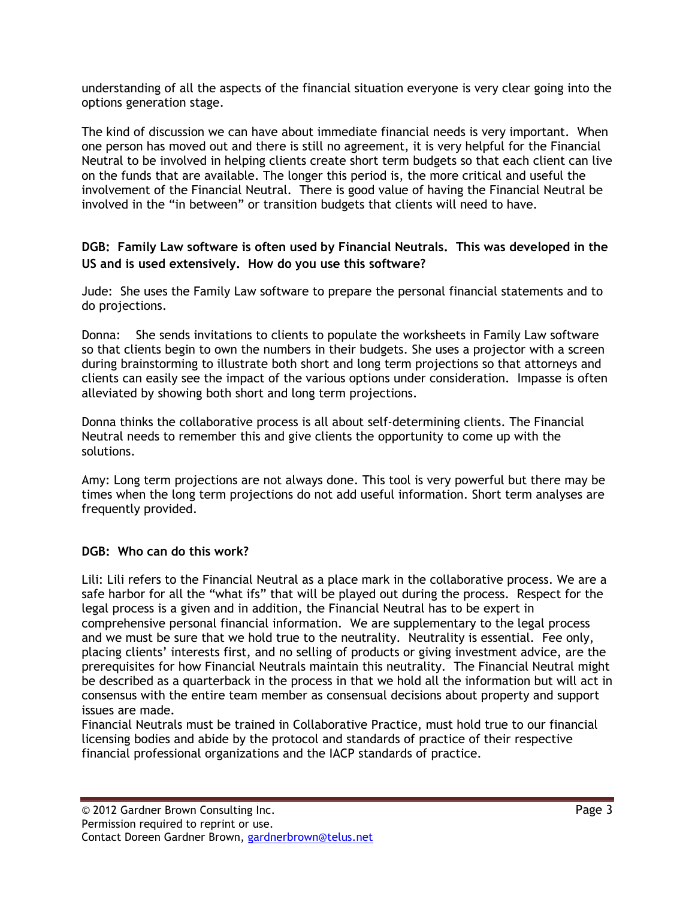understanding of all the aspects of the financial situation everyone is very clear going into the options generation stage.

The kind of discussion we can have about immediate financial needs is very important. When one person has moved out and there is still no agreement, it is very helpful for the Financial Neutral to be involved in helping clients create short term budgets so that each client can live on the funds that are available. The longer this period is, the more critical and useful the involvement of the Financial Neutral. There is good value of having the Financial Neutral be involved in the "in between" or transition budgets that clients will need to have.

## DGB: Family Law software is often used by Financial Neutrals. This was developed in the US and is used extensively. How do you use this software?

Jude: She uses the Family Law software to prepare the personal financial statements and to do projections.

Donna: She sends invitations to clients to populate the worksheets in Family Law software so that clients begin to own the numbers in their budgets. She uses a projector with a screen during brainstorming to illustrate both short and long term projections so that attorneys and clients can easily see the impact of the various options under consideration. Impasse is often alleviated by showing both short and long term projections.

Donna thinks the collaborative process is all about self-determining clients. The Financial Neutral needs to remember this and give clients the opportunity to come up with the solutions.

Amy: Long term projections are not always done. This tool is very powerful but there may be times when the long term projections do not add useful information. Short term analyses are frequently provided.

## DGB: Who can do this work?

Lili: Lili refers to the Financial Neutral as a place mark in the collaborative process. We are a safe harbor for all the "what ifs" that will be played out during the process. Respect for the legal process is a given and in addition, the Financial Neutral has to be expert in comprehensive personal financial information. We are supplementary to the legal process and we must be sure that we hold true to the neutrality. Neutrality is essential. Fee only, placing clients' interests first, and no selling of products or giving investment advice, are the prerequisites for how Financial Neutrals maintain this neutrality. The Financial Neutral might be described as a quarterback in the process in that we hold all the information but will act in consensus with the entire team member as consensual decisions about property and support issues are made.

Financial Neutrals must be trained in Collaborative Practice, must hold true to our financial licensing bodies and abide by the protocol and standards of practice of their respective financial professional organizations and the IACP standards of practice.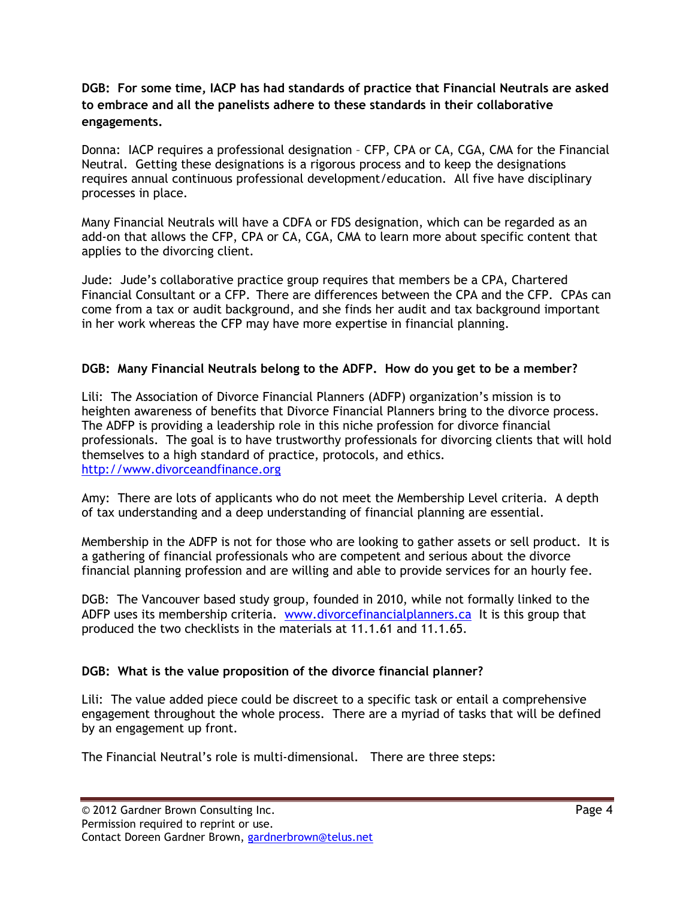## DGB: For some time, IACP has had standards of practice that Financial Neutrals are asked to embrace and all the panelists adhere to these standards in their collaborative engagements.

Donna: IACP requires a professional designation – CFP, CPA or CA, CGA, CMA for the Financial Neutral. Getting these designations is a rigorous process and to keep the designations requires annual continuous professional development/education. All five have disciplinary processes in place.

Many Financial Neutrals will have a CDFA or FDS designation, which can be regarded as an add-on that allows the CFP, CPA or CA, CGA, CMA to learn more about specific content that applies to the divorcing client.

Jude: Jude's collaborative practice group requires that members be a CPA, Chartered Financial Consultant or a CFP. There are differences between the CPA and the CFP. CPAs can come from a tax or audit background, and she finds her audit and tax background important in her work whereas the CFP may have more expertise in financial planning.

## DGB: Many Financial Neutrals belong to the ADFP. How do you get to be a member?

Lili: The Association of Divorce Financial Planners (ADFP) organization's mission is to heighten awareness of benefits that Divorce Financial Planners bring to the divorce process. The ADFP is providing a leadership role in this niche profession for divorce financial professionals. The goal is to have trustworthy professionals for divorcing clients that will hold themselves to a high standard of practice, protocols, and ethics. http://www.divorceandfinance.org

Amy: There are lots of applicants who do not meet the Membership Level criteria. A depth of tax understanding and a deep understanding of financial planning are essential.

Membership in the ADFP is not for those who are looking to gather assets or sell product. It is a gathering of financial professionals who are competent and serious about the divorce financial planning profession and are willing and able to provide services for an hourly fee.

DGB: The Vancouver based study group, founded in 2010, while not formally linked to the ADFP uses its membership criteria. www.divorcefinancialplanners.ca It is this group that produced the two checklists in the materials at 11.1.61 and 11.1.65.

## DGB: What is the value proposition of the divorce financial planner?

Lili: The value added piece could be discreet to a specific task or entail a comprehensive engagement throughout the whole process. There are a myriad of tasks that will be defined by an engagement up front.

The Financial Neutral's role is multi-dimensional. There are three steps: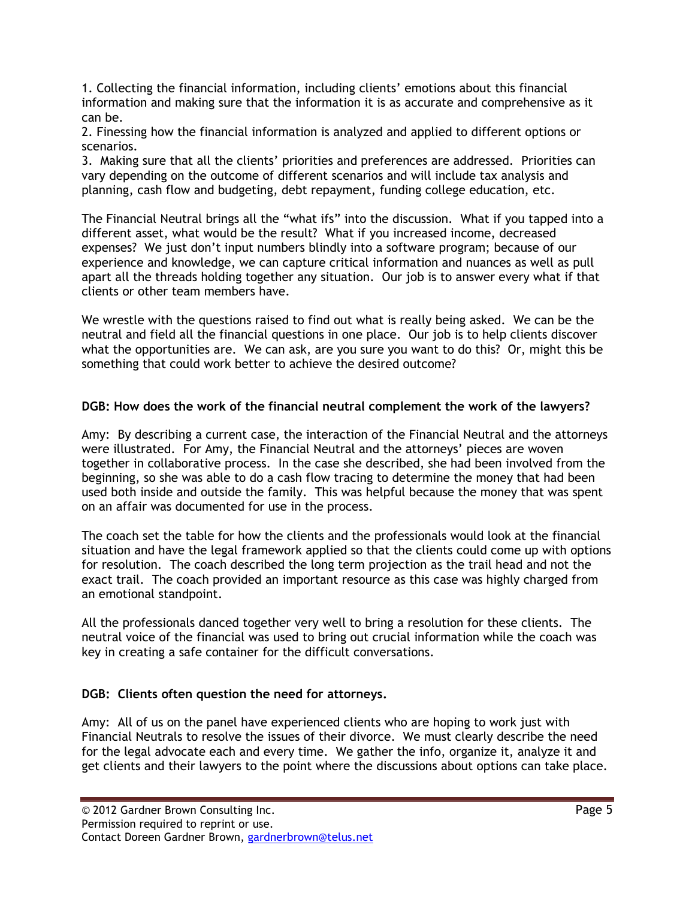1. Collecting the financial information, including clients' emotions about this financial information and making sure that the information it is as accurate and comprehensive as it can be.

2. Finessing how the financial information is analyzed and applied to different options or scenarios.

3. Making sure that all the clients' priorities and preferences are addressed. Priorities can vary depending on the outcome of different scenarios and will include tax analysis and planning, cash flow and budgeting, debt repayment, funding college education, etc.

The Financial Neutral brings all the "what ifs" into the discussion. What if you tapped into a different asset, what would be the result? What if you increased income, decreased expenses? We just don't input numbers blindly into a software program; because of our experience and knowledge, we can capture critical information and nuances as well as pull apart all the threads holding together any situation. Our job is to answer every what if that clients or other team members have.

We wrestle with the questions raised to find out what is really being asked. We can be the neutral and field all the financial questions in one place. Our job is to help clients discover what the opportunities are. We can ask, are you sure you want to do this? Or, might this be something that could work better to achieve the desired outcome?

# DGB: How does the work of the financial neutral complement the work of the lawyers?

Amy: By describing a current case, the interaction of the Financial Neutral and the attorneys were illustrated. For Amy, the Financial Neutral and the attorneys' pieces are woven together in collaborative process. In the case she described, she had been involved from the beginning, so she was able to do a cash flow tracing to determine the money that had been used both inside and outside the family. This was helpful because the money that was spent on an affair was documented for use in the process.

The coach set the table for how the clients and the professionals would look at the financial situation and have the legal framework applied so that the clients could come up with options for resolution. The coach described the long term projection as the trail head and not the exact trail. The coach provided an important resource as this case was highly charged from an emotional standpoint.

All the professionals danced together very well to bring a resolution for these clients. The neutral voice of the financial was used to bring out crucial information while the coach was key in creating a safe container for the difficult conversations.

## DGB: Clients often question the need for attorneys.

Amy: All of us on the panel have experienced clients who are hoping to work just with Financial Neutrals to resolve the issues of their divorce. We must clearly describe the need for the legal advocate each and every time. We gather the info, organize it, analyze it and get clients and their lawyers to the point where the discussions about options can take place.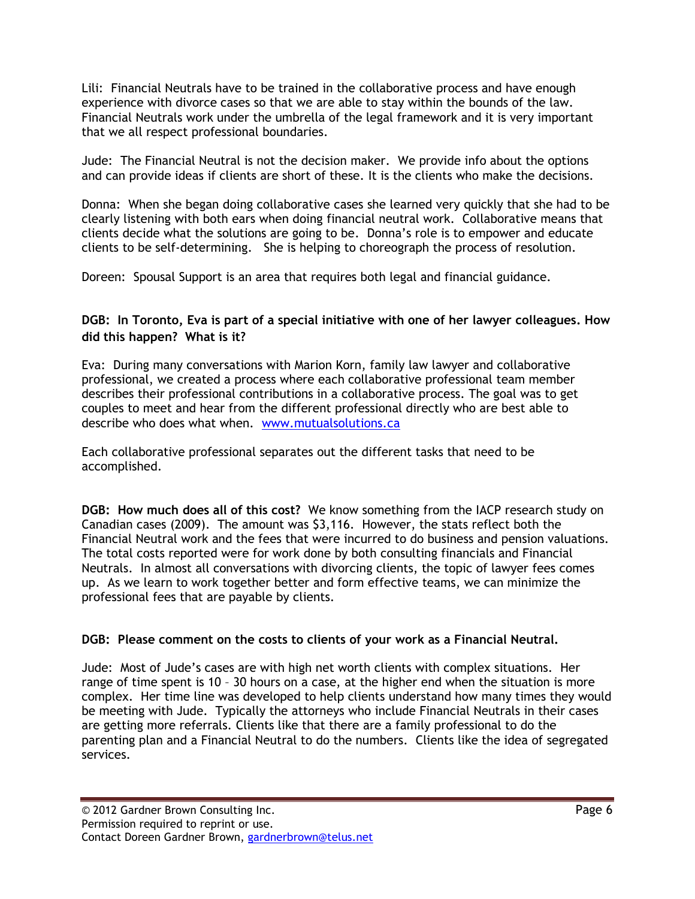Lili: Financial Neutrals have to be trained in the collaborative process and have enough experience with divorce cases so that we are able to stay within the bounds of the law. Financial Neutrals work under the umbrella of the legal framework and it is very important that we all respect professional boundaries.

Jude: The Financial Neutral is not the decision maker. We provide info about the options and can provide ideas if clients are short of these. It is the clients who make the decisions.

Donna: When she began doing collaborative cases she learned very quickly that she had to be clearly listening with both ears when doing financial neutral work. Collaborative means that clients decide what the solutions are going to be. Donna's role is to empower and educate clients to be self-determining. She is helping to choreograph the process of resolution.

Doreen: Spousal Support is an area that requires both legal and financial guidance.

## DGB: In Toronto, Eva is part of a special initiative with one of her lawyer colleagues. How did this happen? What is it?

Eva: During many conversations with Marion Korn, family law lawyer and collaborative professional, we created a process where each collaborative professional team member describes their professional contributions in a collaborative process. The goal was to get couples to meet and hear from the different professional directly who are best able to describe who does what when. www.mutualsolutions.ca

Each collaborative professional separates out the different tasks that need to be accomplished.

DGB: How much does all of this cost? We know something from the IACP research study on Canadian cases (2009). The amount was \$3,116. However, the stats reflect both the Financial Neutral work and the fees that were incurred to do business and pension valuations. The total costs reported were for work done by both consulting financials and Financial Neutrals. In almost all conversations with divorcing clients, the topic of lawyer fees comes up. As we learn to work together better and form effective teams, we can minimize the professional fees that are payable by clients.

## DGB: Please comment on the costs to clients of your work as a Financial Neutral.

Jude: Most of Jude's cases are with high net worth clients with complex situations. Her range of time spent is 10 – 30 hours on a case, at the higher end when the situation is more complex. Her time line was developed to help clients understand how many times they would be meeting with Jude. Typically the attorneys who include Financial Neutrals in their cases are getting more referrals. Clients like that there are a family professional to do the parenting plan and a Financial Neutral to do the numbers. Clients like the idea of segregated services.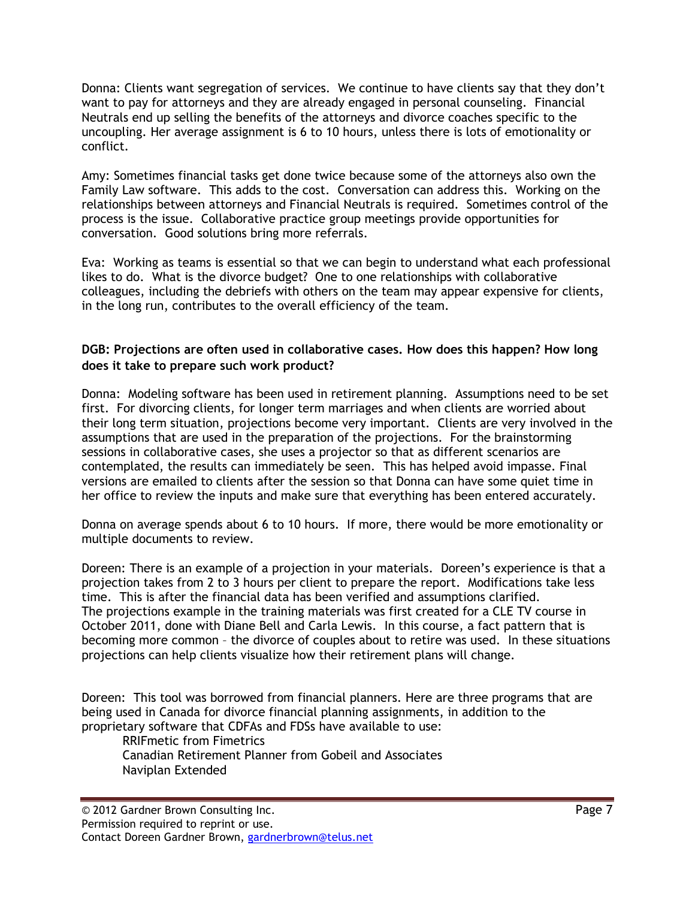Donna: Clients want segregation of services. We continue to have clients say that they don't want to pay for attorneys and they are already engaged in personal counseling. Financial Neutrals end up selling the benefits of the attorneys and divorce coaches specific to the uncoupling. Her average assignment is 6 to 10 hours, unless there is lots of emotionality or conflict.

Amy: Sometimes financial tasks get done twice because some of the attorneys also own the Family Law software. This adds to the cost. Conversation can address this. Working on the relationships between attorneys and Financial Neutrals is required. Sometimes control of the process is the issue. Collaborative practice group meetings provide opportunities for conversation. Good solutions bring more referrals.

Eva: Working as teams is essential so that we can begin to understand what each professional likes to do. What is the divorce budget? One to one relationships with collaborative colleagues, including the debriefs with others on the team may appear expensive for clients, in the long run, contributes to the overall efficiency of the team.

## DGB: Projections are often used in collaborative cases. How does this happen? How long does it take to prepare such work product?

Donna: Modeling software has been used in retirement planning. Assumptions need to be set first. For divorcing clients, for longer term marriages and when clients are worried about their long term situation, projections become very important. Clients are very involved in the assumptions that are used in the preparation of the projections. For the brainstorming sessions in collaborative cases, she uses a projector so that as different scenarios are contemplated, the results can immediately be seen. This has helped avoid impasse. Final versions are emailed to clients after the session so that Donna can have some quiet time in her office to review the inputs and make sure that everything has been entered accurately.

Donna on average spends about 6 to 10 hours. If more, there would be more emotionality or multiple documents to review.

Doreen: There is an example of a projection in your materials. Doreen's experience is that a projection takes from 2 to 3 hours per client to prepare the report. Modifications take less time. This is after the financial data has been verified and assumptions clarified. The projections example in the training materials was first created for a CLE TV course in October 2011, done with Diane Bell and Carla Lewis. In this course, a fact pattern that is becoming more common – the divorce of couples about to retire was used. In these situations projections can help clients visualize how their retirement plans will change.

Doreen: This tool was borrowed from financial planners. Here are three programs that are being used in Canada for divorce financial planning assignments, in addition to the proprietary software that CDFAs and FDSs have available to use:

RRIFmetic from Fimetrics

Canadian Retirement Planner from Gobeil and Associates Naviplan Extended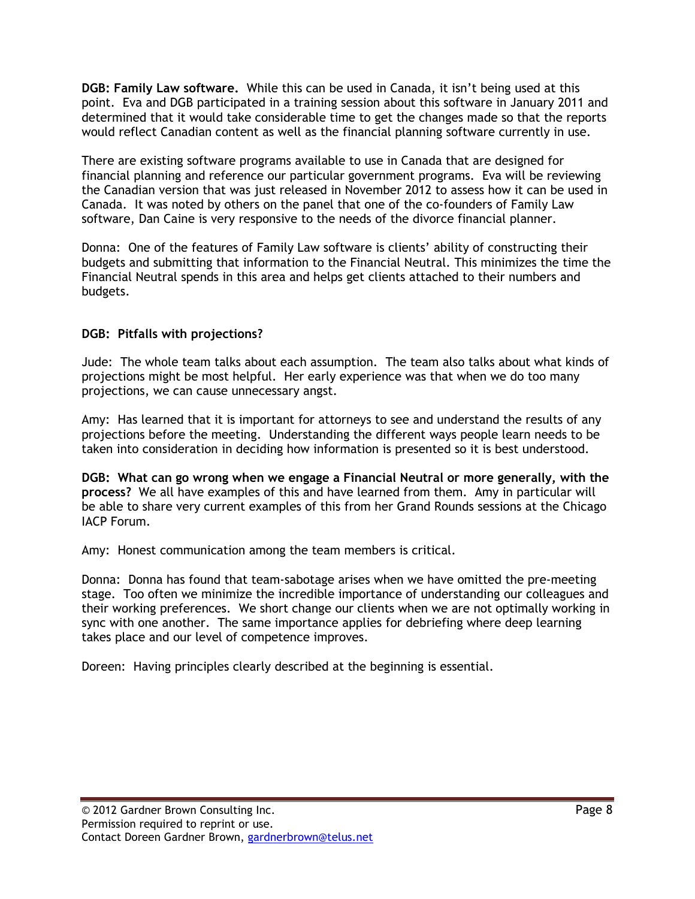DGB: Family Law software. While this can be used in Canada, it isn't being used at this point. Eva and DGB participated in a training session about this software in January 2011 and determined that it would take considerable time to get the changes made so that the reports would reflect Canadian content as well as the financial planning software currently in use.

There are existing software programs available to use in Canada that are designed for financial planning and reference our particular government programs. Eva will be reviewing the Canadian version that was just released in November 2012 to assess how it can be used in Canada. It was noted by others on the panel that one of the co-founders of Family Law software, Dan Caine is very responsive to the needs of the divorce financial planner.

Donna: One of the features of Family Law software is clients' ability of constructing their budgets and submitting that information to the Financial Neutral. This minimizes the time the Financial Neutral spends in this area and helps get clients attached to their numbers and budgets.

#### DGB: Pitfalls with projections?

Jude: The whole team talks about each assumption. The team also talks about what kinds of projections might be most helpful. Her early experience was that when we do too many projections, we can cause unnecessary angst.

Amy: Has learned that it is important for attorneys to see and understand the results of any projections before the meeting. Understanding the different ways people learn needs to be taken into consideration in deciding how information is presented so it is best understood.

DGB: What can go wrong when we engage a Financial Neutral or more generally, with the process? We all have examples of this and have learned from them. Amy in particular will be able to share very current examples of this from her Grand Rounds sessions at the Chicago IACP Forum.

Amy: Honest communication among the team members is critical.

Donna: Donna has found that team-sabotage arises when we have omitted the pre-meeting stage. Too often we minimize the incredible importance of understanding our colleagues and their working preferences. We short change our clients when we are not optimally working in sync with one another. The same importance applies for debriefing where deep learning takes place and our level of competence improves.

Doreen: Having principles clearly described at the beginning is essential.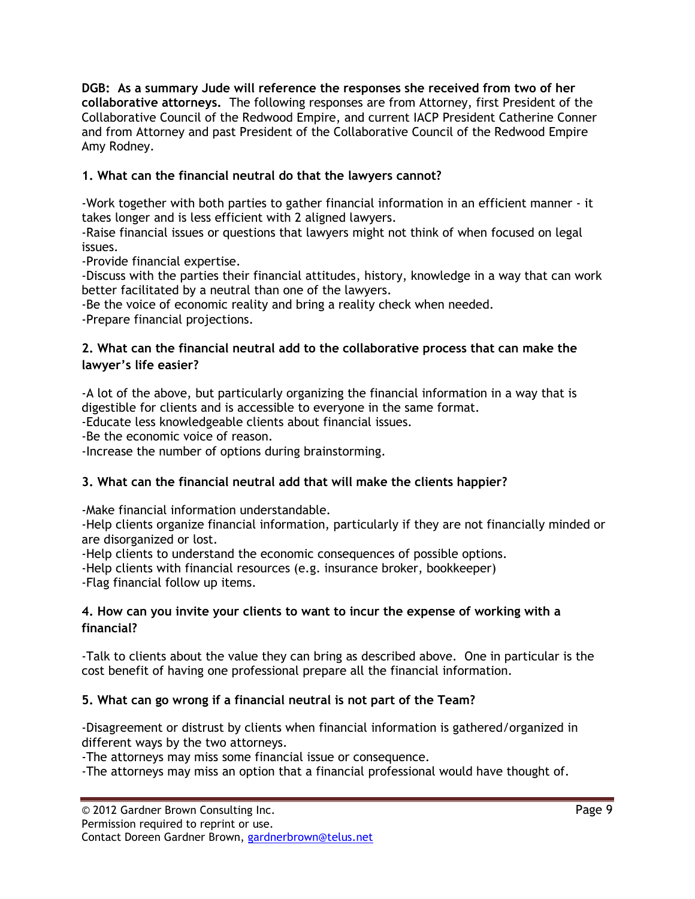DGB: As a summary Jude will reference the responses she received from two of her collaborative attorneys. The following responses are from Attorney, first President of the Collaborative Council of the Redwood Empire, and current IACP President Catherine Conner and from Attorney and past President of the Collaborative Council of the Redwood Empire Amy Rodney.

# 1. What can the financial neutral do that the lawyers cannot?

-Work together with both parties to gather financial information in an efficient manner - it takes longer and is less efficient with 2 aligned lawyers.

-Raise financial issues or questions that lawyers might not think of when focused on legal issues.

-Provide financial expertise.

-Discuss with the parties their financial attitudes, history, knowledge in a way that can work better facilitated by a neutral than one of the lawyers.

-Be the voice of economic reality and bring a reality check when needed.

-Prepare financial projections.

## 2. What can the financial neutral add to the collaborative process that can make the lawyer's life easier?

-A lot of the above, but particularly organizing the financial information in a way that is digestible for clients and is accessible to everyone in the same format.

-Educate less knowledgeable clients about financial issues.

-Be the economic voice of reason.

-Increase the number of options during brainstorming.

# 3. What can the financial neutral add that will make the clients happier?

-Make financial information understandable.

-Help clients organize financial information, particularly if they are not financially minded or are disorganized or lost.

-Help clients to understand the economic consequences of possible options.

-Help clients with financial resources (e.g. insurance broker, bookkeeper) -Flag financial follow up items.

## 4. How can you invite your clients to want to incur the expense of working with a financial?

-Talk to clients about the value they can bring as described above. One in particular is the cost benefit of having one professional prepare all the financial information.

## 5. What can go wrong if a financial neutral is not part of the Team?

-Disagreement or distrust by clients when financial information is gathered/organized in different ways by the two attorneys.

-The attorneys may miss some financial issue or consequence.

-The attorneys may miss an option that a financial professional would have thought of.

Contact Doreen Gardner Brown, gardnerbrown@telus.net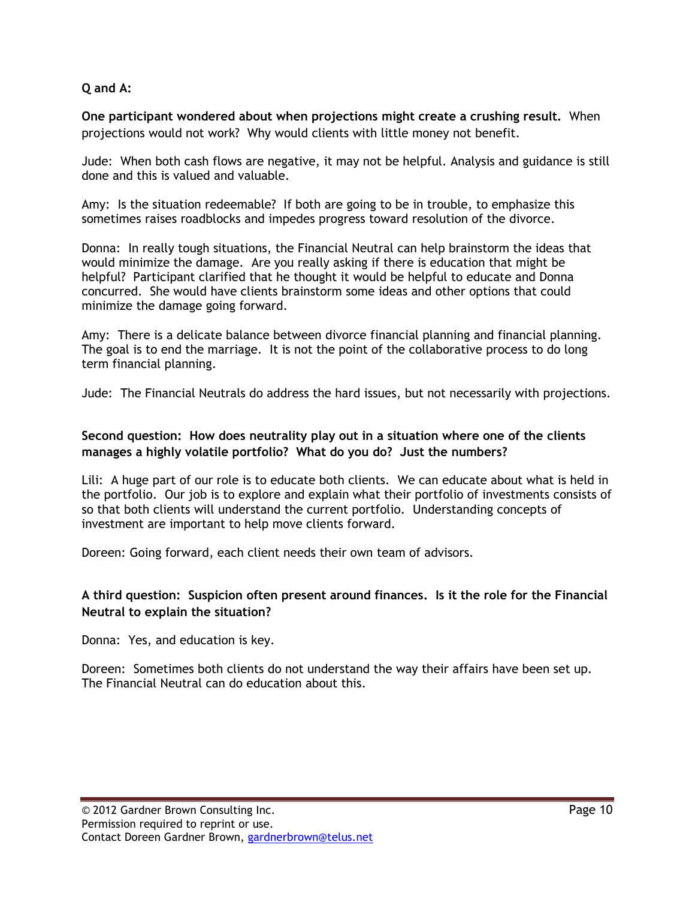#### Q and A:

One participant wondered about when projections might create a crushing result. When projections would not work? Why would clients with little money not benefit.

Jude: When both cash flows are negative, it may not be helpful. Analysis and guidance is still done and this is valued and valuable.

Amy: Is the situation redeemable? If both are going to be in trouble, to emphasize this sometimes raises roadblocks and impedes progress toward resolution of the divorce.

Donna: In really tough situations, the Financial Neutral can help brainstorm the ideas that would minimize the damage. Are you really asking if there is education that might be helpful? Participant clarified that he thought it would be helpful to educate and Donna concurred. She would have clients brainstorm some ideas and other options that could minimize the damage going forward.

Amy: There is a delicate balance between divorce financial planning and financial planning. The goal is to end the marriage. It is not the point of the collaborative process to do long term financial planning.

Jude: The Financial Neutrals do address the hard issues, but not necessarily with projections.

#### Second question: How does neutrality play out in a situation where one of the clients manages a highly volatile portfolio? What do you do? Just the numbers?

Lili: A huge part of our role is to educate both clients. We can educate about what is held in the portfolio. Our job is to explore and explain what their portfolio of investments consists of so that both clients will understand the current portfolio. Understanding concepts of investment are important to help move clients forward.

Doreen: Going forward, each client needs their own team of advisors.

## A third question: Suspicion often present around finances. Is it the role for the Financial Neutral to explain the situation?

Donna: Yes, and education is key.

Doreen: Sometimes both clients do not understand the way their affairs have been set up. The Financial Neutral can do education about this.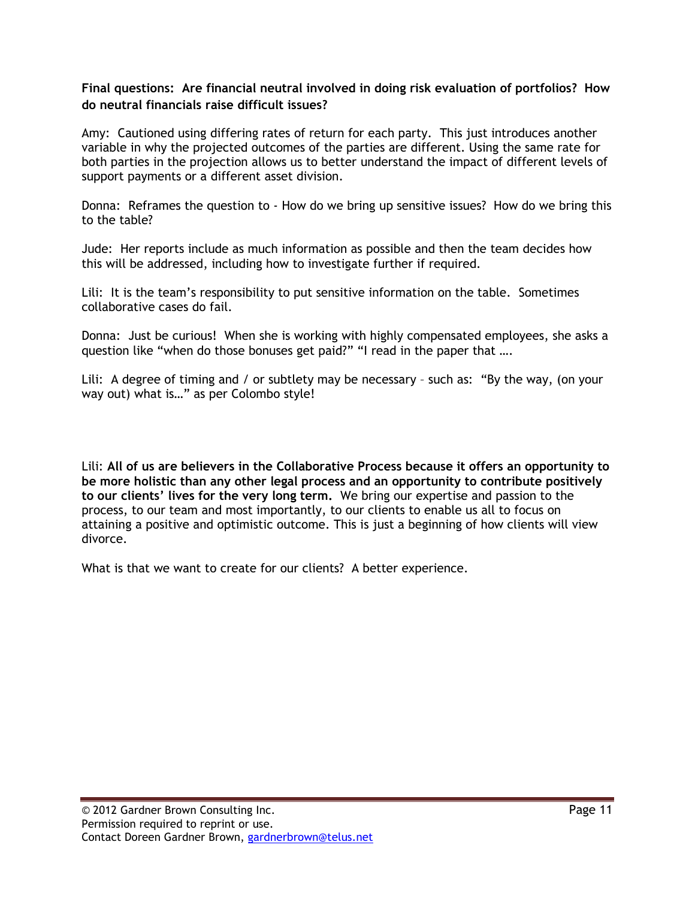#### Final questions: Are financial neutral involved in doing risk evaluation of portfolios? How do neutral financials raise difficult issues?

Amy: Cautioned using differing rates of return for each party. This just introduces another variable in why the projected outcomes of the parties are different. Using the same rate for both parties in the projection allows us to better understand the impact of different levels of support payments or a different asset division.

Donna: Reframes the question to - How do we bring up sensitive issues? How do we bring this to the table?

Jude: Her reports include as much information as possible and then the team decides how this will be addressed, including how to investigate further if required.

Lili: It is the team's responsibility to put sensitive information on the table. Sometimes collaborative cases do fail.

Donna: Just be curious! When she is working with highly compensated employees, she asks a question like "when do those bonuses get paid?" "I read in the paper that ….

Lili: A degree of timing and / or subtlety may be necessary - such as: "By the way, (on your way out) what is…" as per Colombo style!

Lili: All of us are believers in the Collaborative Process because it offers an opportunity to be more holistic than any other legal process and an opportunity to contribute positively to our clients' lives for the very long term. We bring our expertise and passion to the process, to our team and most importantly, to our clients to enable us all to focus on attaining a positive and optimistic outcome. This is just a beginning of how clients will view divorce.

What is that we want to create for our clients? A better experience.